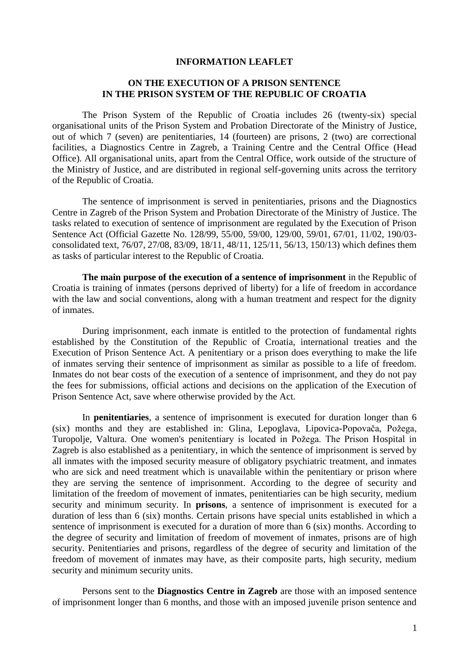## **INFORMATION LEAFLET**

## **ON THE EXECUTION OF A PRISON SENTENCE IN THE PRISON SYSTEM OF THE REPUBLIC OF CROATIA**

The Prison System of the Republic of Croatia includes 26 (twenty-six) special organisational units of the Prison System and Probation Directorate of the Ministry of Justice, out of which 7 (seven) are penitentiaries, 14 (fourteen) are prisons, 2 (two) are correctional facilities, a Diagnostics Centre in Zagreb, a Training Centre and the Central Office (Head Office). All organisational units, apart from the Central Office, work outside of the structure of the Ministry of Justice, and are distributed in regional self-governing units across the territory of the Republic of Croatia.

The sentence of imprisonment is served in penitentiaries, prisons and the Diagnostics Centre in Zagreb of the Prison System and Probation Directorate of the Ministry of Justice. The tasks related to execution of sentence of imprisonment are regulated by the Execution of Prison Sentence Act (Official Gazette No. 128/99, 55/00, 59/00, 129/00, 59/01, 67/01, 11/02, 190/03 consolidated text, 76/07, 27/08, 83/09, 18/11, 48/11, 125/11, 56/13, 150/13) which defines them as tasks of particular interest to the Republic of Croatia.

**The main purpose of the execution of a sentence of imprisonment** in the Republic of Croatia is training of inmates (persons deprived of liberty) for a life of freedom in accordance with the law and social conventions, along with a human treatment and respect for the dignity of inmates.

During imprisonment, each inmate is entitled to the protection of fundamental rights established by the Constitution of the Republic of Croatia, international treaties and the Execution of Prison Sentence Act. A penitentiary or a prison does everything to make the life of inmates serving their sentence of imprisonment as similar as possible to a life of freedom. Inmates do not bear costs of the execution of a sentence of imprisonment, and they do not pay the fees for submissions, official actions and decisions on the application of the Execution of Prison Sentence Act, save where otherwise provided by the Act.

In **penitentiaries**, a sentence of imprisonment is executed for duration longer than 6 (six) months and they are established in: Glina, Lepoglava, Lipovica-Popovača, Požega, Turopolje, Valtura. One women's penitentiary is located in Požega. The Prison Hospital in Zagreb is also established as a penitentiary, in which the sentence of imprisonment is served by all inmates with the imposed security measure of obligatory psychiatric treatment, and inmates who are sick and need treatment which is unavailable within the penitentiary or prison where they are serving the sentence of imprisonment. According to the degree of security and limitation of the freedom of movement of inmates, penitentiaries can be high security, medium security and minimum security. In **prisons**, a sentence of imprisonment is executed for a duration of less than 6 (six) months. Certain prisons have special units established in which a sentence of imprisonment is executed for a duration of more than 6 (six) months. According to the degree of security and limitation of freedom of movement of inmates, prisons are of high security. Penitentiaries and prisons, regardless of the degree of security and limitation of the freedom of movement of inmates may have, as their composite parts, high security, medium security and minimum security units.

Persons sent to the **Diagnostics Centre in Zagreb** are those with an imposed sentence of imprisonment longer than 6 months, and those with an imposed juvenile prison sentence and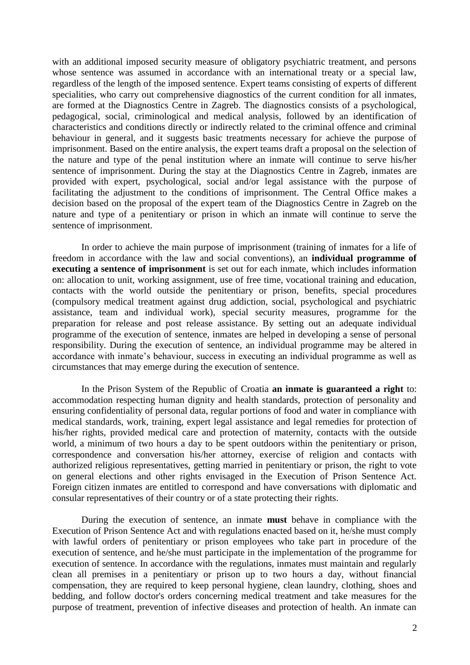with an additional imposed security measure of obligatory psychiatric treatment, and persons whose sentence was assumed in accordance with an international treaty or a special law, regardless of the length of the imposed sentence. Expert teams consisting of experts of different specialities, who carry out comprehensive diagnostics of the current condition for all inmates, are formed at the Diagnostics Centre in Zagreb. The diagnostics consists of a psychological, pedagogical, social, criminological and medical analysis, followed by an identification of characteristics and conditions directly or indirectly related to the criminal offence and criminal behaviour in general, and it suggests basic treatments necessary for achieve the purpose of imprisonment. Based on the entire analysis, the expert teams draft a proposal on the selection of the nature and type of the penal institution where an inmate will continue to serve his/her sentence of imprisonment. During the stay at the Diagnostics Centre in Zagreb, inmates are provided with expert, psychological, social and/or legal assistance with the purpose of facilitating the adjustment to the conditions of imprisonment. The Central Office makes a decision based on the proposal of the expert team of the Diagnostics Centre in Zagreb on the nature and type of a penitentiary or prison in which an inmate will continue to serve the sentence of imprisonment.

In order to achieve the main purpose of imprisonment (training of inmates for a life of freedom in accordance with the law and social conventions), an **individual programme of executing a sentence of imprisonment** is set out for each inmate, which includes information on: allocation to unit, working assignment, use of free time, vocational training and education, contacts with the world outside the penitentiary or prison, benefits, special procedures (compulsory medical treatment against drug addiction, social, psychological and psychiatric assistance, team and individual work), special security measures, programme for the preparation for release and post release assistance. By setting out an adequate individual programme of the execution of sentence, inmates are helped in developing a sense of personal responsibility. During the execution of sentence, an individual programme may be altered in accordance with inmate's behaviour, success in executing an individual programme as well as circumstances that may emerge during the execution of sentence.

In the Prison System of the Republic of Croatia **an inmate is guaranteed a right** to: accommodation respecting human dignity and health standards, protection of personality and ensuring confidentiality of personal data, regular portions of food and water in compliance with medical standards, work, training, expert legal assistance and legal remedies for protection of his/her rights, provided medical care and protection of maternity, contacts with the outside world, a minimum of two hours a day to be spent outdoors within the penitentiary or prison, correspondence and conversation his/her attorney, exercise of religion and contacts with authorized religious representatives, getting married in penitentiary or prison, the right to vote on general elections and other rights envisaged in the Execution of Prison Sentence Act. Foreign citizen inmates are entitled to correspond and have conversations with diplomatic and consular representatives of their country or of a state protecting their rights.

During the execution of sentence, an inmate **must** behave in compliance with the Execution of Prison Sentence Act and with regulations enacted based on it, he/she must comply with lawful orders of penitentiary or prison employees who take part in procedure of the execution of sentence, and he/she must participate in the implementation of the programme for execution of sentence. In accordance with the regulations, inmates must maintain and regularly clean all premises in a penitentiary or prison up to two hours a day, without financial compensation, they are required to keep personal hygiene, clean laundry, clothing, shoes and bedding, and follow doctor's orders concerning medical treatment and take measures for the purpose of treatment, prevention of infective diseases and protection of health. An inmate can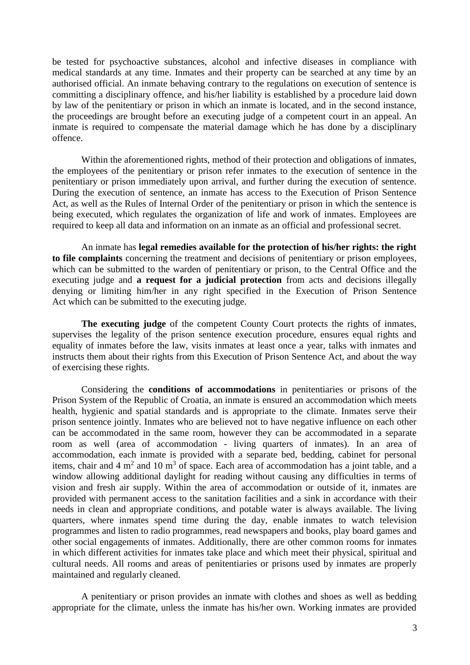be tested for psychoactive substances, alcohol and infective diseases in compliance with medical standards at any time. Inmates and their property can be searched at any time by an authorised official. An inmate behaving contrary to the regulations on execution of sentence is committing a disciplinary offence, and his/her liability is established by a procedure laid down by law of the penitentiary or prison in which an inmate is located, and in the second instance, the proceedings are brought before an executing judge of a competent court in an appeal. An inmate is required to compensate the material damage which he has done by a disciplinary offence.

Within the aforementioned rights, method of their protection and obligations of inmates, the employees of the penitentiary or prison refer inmates to the execution of sentence in the penitentiary or prison immediately upon arrival, and further during the execution of sentence. During the execution of sentence, an inmate has access to the Execution of Prison Sentence Act, as well as the Rules of Internal Order of the penitentiary or prison in which the sentence is being executed, which regulates the organization of life and work of inmates. Employees are required to keep all data and information on an inmate as an official and professional secret.

An inmate has **legal remedies available for the protection of his/her rights: the right to file complaints** concerning the treatment and decisions of penitentiary or prison employees, which can be submitted to the warden of penitentiary or prison, to the Central Office and the executing judge and **a request for a judicial protection** from acts and decisions illegally denying or limiting him/her in any right specified in the Execution of Prison Sentence Act which can be submitted to the executing judge.

**The executing judge** of the competent County Court protects the rights of inmates, supervises the legality of the prison sentence execution procedure, ensures equal rights and equality of inmates before the law, visits inmates at least once a year, talks with inmates and instructs them about their rights from this Execution of Prison Sentence Act, and about the way of exercising these rights.

Considering the **conditions of accommodations** in penitentiaries or prisons of the Prison System of the Republic of Croatia, an inmate is ensured an accommodation which meets health, hygienic and spatial standards and is appropriate to the climate. Inmates serve their prison sentence jointly. Inmates who are believed not to have negative influence on each other can be accommodated in the same room, however they can be accommodated in a separate room as well (area of accommodation - living quarters of inmates). In an area of accommodation, each inmate is provided with a separate bed, bedding, cabinet for personal items, chair and  $4 \text{ m}^2$  and  $10 \text{ m}^3$  of space. Each area of accommodation has a joint table, and a window allowing additional daylight for reading without causing any difficulties in terms of vision and fresh air supply. Within the area of accommodation or outside of it, inmates are provided with permanent access to the sanitation facilities and a sink in accordance with their needs in clean and appropriate conditions, and potable water is always available. The living quarters, where inmates spend time during the day, enable inmates to watch television programmes and listen to radio programmes, read newspapers and books, play board games and other social engagements of inmates. Additionally, there are other common rooms for inmates in which different activities for inmates take place and which meet their physical, spiritual and cultural needs. All rooms and areas of penitentiaries or prisons used by inmates are properly maintained and regularly cleaned.

A penitentiary or prison provides an inmate with clothes and shoes as well as bedding appropriate for the climate, unless the inmate has his/her own. Working inmates are provided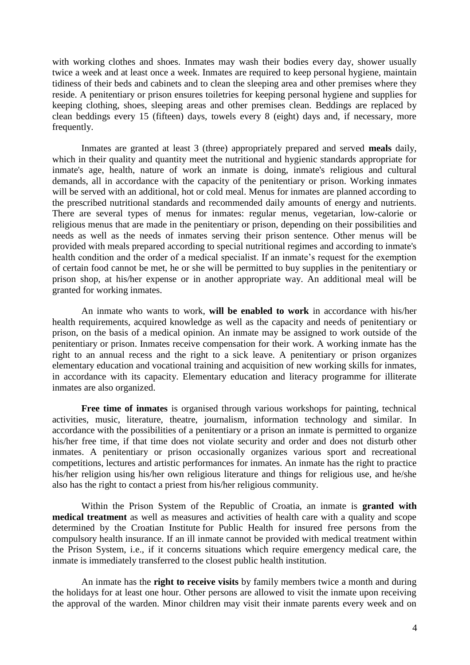with working clothes and shoes. Inmates may wash their bodies every day, shower usually twice a week and at least once a week. Inmates are required to keep personal hygiene, maintain tidiness of their beds and cabinets and to clean the sleeping area and other premises where they reside. A penitentiary or prison ensures toiletries for keeping personal hygiene and supplies for keeping clothing, shoes, sleeping areas and other premises clean. Beddings are replaced by clean beddings every 15 (fifteen) days, towels every 8 (eight) days and, if necessary, more frequently.

Inmates are granted at least 3 (three) appropriately prepared and served **meals** daily, which in their quality and quantity meet the nutritional and hygienic standards appropriate for inmate's age, health, nature of work an inmate is doing, inmate's religious and cultural demands, all in accordance with the capacity of the penitentiary or prison. Working inmates will be served with an additional, hot or cold meal. Menus for inmates are planned according to the prescribed nutritional standards and recommended daily amounts of energy and nutrients. There are several types of menus for inmates: regular menus, vegetarian, low-calorie or religious menus that are made in the penitentiary or prison, depending on their possibilities and needs as well as the needs of inmates serving their prison sentence. Other menus will be provided with meals prepared according to special nutritional regimes and according to inmate's health condition and the order of a medical specialist. If an inmate's request for the exemption of certain food cannot be met, he or she will be permitted to buy supplies in the penitentiary or prison shop, at his/her expense or in another appropriate way. An additional meal will be granted for working inmates.

An inmate who wants to work, **will be enabled to work** in accordance with his/her health requirements, acquired knowledge as well as the capacity and needs of penitentiary or prison, on the basis of a medical opinion. An inmate may be assigned to work outside of the penitentiary or prison. Inmates receive compensation for their work. A working inmate has the right to an annual recess and the right to a sick leave. A penitentiary or prison organizes elementary education and vocational training and acquisition of new working skills for inmates, in accordance with its capacity. Elementary education and literacy programme for illiterate inmates are also organized.

**Free time of inmates** is organised through various workshops for painting, technical activities, music, literature, theatre, journalism, information technology and similar. In accordance with the possibilities of a penitentiary or a prison an inmate is permitted to organize his/her free time, if that time does not violate security and order and does not disturb other inmates. A penitentiary or prison occasionally organizes various sport and recreational competitions, lectures and artistic performances for inmates. An inmate has the right to practice his/her religion using his/her own religious literature and things for religious use, and he/she also has the right to contact a priest from his/her religious community.

Within the Prison System of the Republic of Croatia, an inmate is **granted with medical treatment** as well as measures and activities of health care with a quality and scope determined by the Croatian Institute for Public Health for insured free persons from the compulsory health insurance. If an ill inmate cannot be provided with medical treatment within the Prison System, i.e., if it concerns situations which require emergency medical care, the inmate is immediately transferred to the closest public health institution.

An inmate has the **right to receive visits** by family members twice a month and during the holidays for at least one hour. Other persons are allowed to visit the inmate upon receiving the approval of the warden. Minor children may visit their inmate parents every week and on